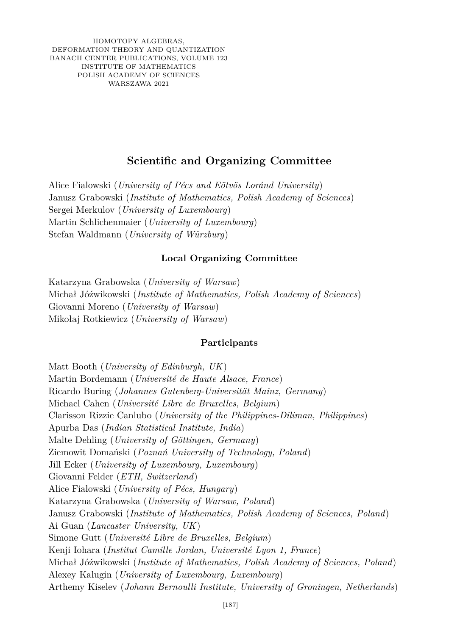HOMOTOPY ALGEBRAS, DEFORMATION THEORY AND QUANTIZATION BANACH CENTER PUBLICATIONS, VOLUME 123 INSTITUTE OF MATHEMATICS POLISH ACADEMY OF SCIENCES WARSZAWA 2021

## **Scientific and Organizing Committee**

Alice Fialowski (*University of Pécs and Eötvös Loránd University*) Janusz Grabowski (*Institute of Mathematics, Polish Academy of Sciences*) Sergei Merkulov (*University of Luxembourg*) Martin Schlichenmaier (*University of Luxembourg*) Stefan Waldmann (*University of Würzburg*)

## **Local Organizing Committee**

Katarzyna Grabowska (*University of Warsaw*) Michał Jóźwikowski (*Institute of Mathematics, Polish Academy of Sciences*) Giovanni Moreno (*University of Warsaw*) Mikołaj Rotkiewicz (*University of Warsaw*)

## **Participants**

Matt Booth (*University of Edinburgh, UK*) Martin Bordemann (*Université de Haute Alsace, France*) Ricardo Buring (*Johannes Gutenberg-Universität Mainz, Germany*) Michael Cahen (*Université Libre de Bruxelles, Belgium*) Clarisson Rizzie Canlubo (*University of the Philippines-Diliman, Philippines*) Apurba Das (*Indian Statistical Institute, India*) Malte Dehling (*University of Göttingen, Germany*) Ziemowit Domański (*Poznań University of Technology, Poland*) Jill Ecker (*University of Luxembourg, Luxembourg*) Giovanni Felder (*ETH, Switzerland*) Alice Fialowski (*University of Pécs, Hungary*) Katarzyna Grabowska (*University of Warsaw, Poland*) Janusz Grabowski (*Institute of Mathematics, Polish Academy of Sciences, Poland*) Ai Guan (*Lancaster University, UK*) Simone Gutt (*Université Libre de Bruxelles, Belgium*) Kenji Iohara (*Institut Camille Jordan, Université Lyon 1, France*) Michał Jóźwikowski (*Institute of Mathematics, Polish Academy of Sciences, Poland*) Alexey Kalugin (*University of Luxembourg, Luxembourg*) Arthemy Kiselev (*Johann Bernoulli Institute, University of Groningen, Netherlands*)